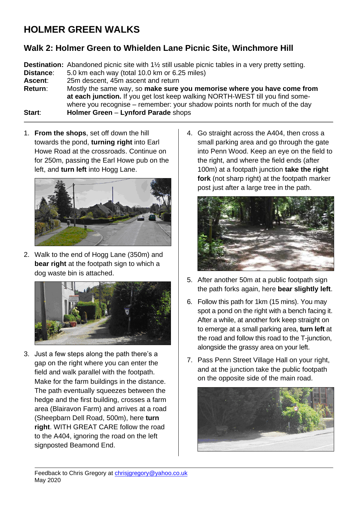## **HOLMER GREEN WALKS**

## **Walk 2: Holmer Green to Whielden Lane Picnic Site, Winchmore Hill**

**Destination:** Abandoned picnic site with 1½ still usable picnic tables in a very pretty setting. **Distance**: 5.0 km each way (total 10.0 km or 6.25 miles) **Ascent**: 25m descent, 45m ascent and return **Return**: Mostly the same way, so **make sure you memorise where you have come from at each junction.** If you get lost keep walking NORTH-WEST till you find somewhere you recognise – remember: your shadow points north for much of the day **Start**: **Holmer Green** – **Lynford Parade** shops

1. **From the shops**, set off down the hill towards the pond, **turning right** into Earl Howe Road at the crossroads. Continue on for 250m, passing the Earl Howe pub on the left, and **turn left** into Hogg Lane.



2. Walk to the end of Hogg Lane (350m) and **bear right** at the footpath sign to which a dog waste bin is attached.



3. Just a few steps along the path there's a gap on the right where you can enter the field and walk parallel with the footpath. Make for the farm buildings in the distance. The path eventually squeezes between the hedge and the first building, crosses a farm area (Blairavon Farm) and arrives at a road (Sheepbarn Dell Road, 500m), here **turn right**. WITH GREAT CARE follow the road to the A404, ignoring the road on the left signposted Beamond End.

4. Go straight across the A404, then cross a small parking area and go through the gate into Penn Wood. Keep an eye on the field to the right, and where the field ends (after 100m) at a footpath junction **take the right fork** (not sharp right) at the footpath marker post just after a large tree in the path.



- 5. After another 50m at a public footpath sign the path forks again, here **bear slightly left**.
- 6. Follow this path for 1km (15 mins). You may spot a pond on the right with a bench facing it. After a while, at another fork keep straight on to emerge at a small parking area, **turn left** at the road and follow this road to the T-junction, alongside the grassy area on your left.
- 7. Pass Penn Street Village Hall on your right, and at the junction take the public footpath on the opposite side of the main road.